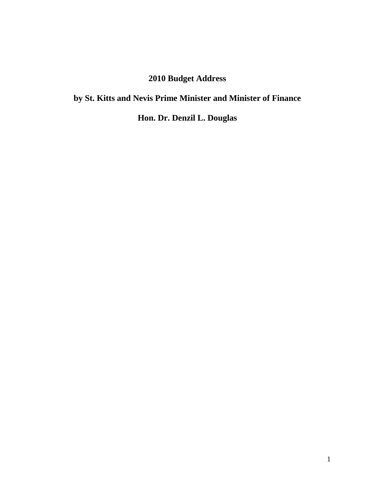# **2010 Budget Address**

# **by St. Kitts and Nevis Prime Minister and Minister of Finance**

**Hon. Dr. Denzil L. Douglas**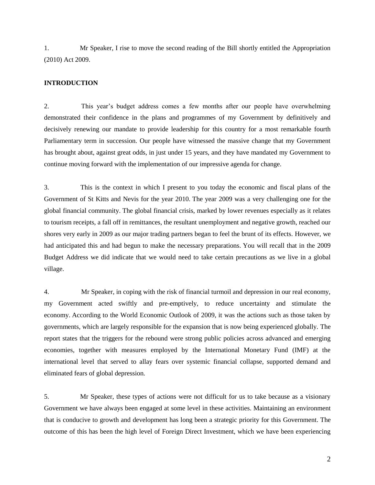1. Mr Speaker, I rise to move the second reading of the Bill shortly entitled the Appropriation (2010) Act 2009.

## **INTRODUCTION**

2. This year's budget address comes a few months after our people have overwhelming demonstrated their confidence in the plans and programmes of my Government by definitively and decisively renewing our mandate to provide leadership for this country for a most remarkable fourth Parliamentary term in succession. Our people have witnessed the massive change that my Government has brought about, against great odds, in just under 15 years, and they have mandated my Government to continue moving forward with the implementation of our impressive agenda for change.

3. This is the context in which I present to you today the economic and fiscal plans of the Government of St Kitts and Nevis for the year 2010. The year 2009 was a very challenging one for the global financial community. The global financial crisis, marked by lower revenues especially as it relates to tourism receipts, a fall off in remittances, the resultant unemployment and negative growth, reached our shores very early in 2009 as our major trading partners began to feel the brunt of its effects. However, we had anticipated this and had begun to make the necessary preparations. You will recall that in the 2009 Budget Address we did indicate that we would need to take certain precautions as we live in a global village.

4. Mr Speaker, in coping with the risk of financial turmoil and depression in our real economy, my Government acted swiftly and pre-emptively, to reduce uncertainty and stimulate the economy. According to the World Economic Outlook of 2009, it was the actions such as those taken by governments, which are largely responsible for the expansion that is now being experienced globally. The report states that the triggers for the rebound were strong public policies across advanced and emerging economies, together with measures employed by the International Monetary Fund (IMF) at the international level that served to allay fears over systemic financial collapse, supported demand and eliminated fears of global depression.

5. Mr Speaker, these types of actions were not difficult for us to take because as a visionary Government we have always been engaged at some level in these activities. Maintaining an environment that is conducive to growth and development has long been a strategic priority for this Government. The outcome of this has been the high level of Foreign Direct Investment, which we have been experiencing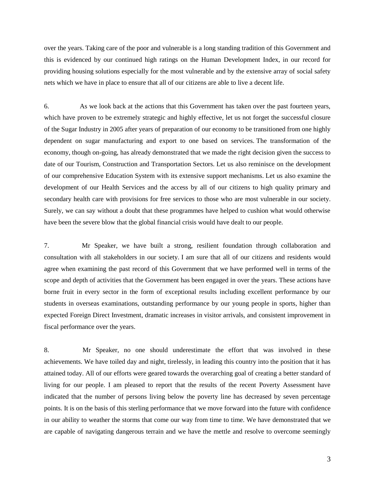over the years. Taking care of the poor and vulnerable is a long standing tradition of this Government and this is evidenced by our continued high ratings on the Human Development Index, in our record for providing housing solutions especially for the most vulnerable and by the extensive array of social safety nets which we have in place to ensure that all of our citizens are able to live a decent life.

6. As we look back at the actions that this Government has taken over the past fourteen years, which have proven to be extremely strategic and highly effective, let us not forget the successful closure of the Sugar Industry in 2005 after years of preparation of our economy to be transitioned from one highly dependent on sugar manufacturing and export to one based on services. The transformation of the economy, though on-going, has already demonstrated that we made the right decision given the success to date of our Tourism, Construction and Transportation Sectors. Let us also reminisce on the development of our comprehensive Education System with its extensive support mechanisms. Let us also examine the development of our Health Services and the access by all of our citizens to high quality primary and secondary health care with provisions for free services to those who are most vulnerable in our society. Surely, we can say without a doubt that these programmes have helped to cushion what would otherwise have been the severe blow that the global financial crisis would have dealt to our people.

7. Mr Speaker, we have built a strong, resilient foundation through collaboration and consultation with all stakeholders in our society. I am sure that all of our citizens and residents would agree when examining the past record of this Government that we have performed well in terms of the scope and depth of activities that the Government has been engaged in over the years. These actions have borne fruit in every sector in the form of exceptional results including excellent performance by our students in overseas examinations, outstanding performance by our young people in sports, higher than expected Foreign Direct Investment, dramatic increases in visitor arrivals, and consistent improvement in fiscal performance over the years.

8. Mr Speaker, no one should underestimate the effort that was involved in these achievements. We have toiled day and night, tirelessly, in leading this country into the position that it has attained today. All of our efforts were geared towards the overarching goal of creating a better standard of living for our people. I am pleased to report that the results of the recent Poverty Assessment have indicated that the number of persons living below the poverty line has decreased by seven percentage points. It is on the basis of this sterling performance that we move forward into the future with confidence in our ability to weather the storms that come our way from time to time. We have demonstrated that we are capable of navigating dangerous terrain and we have the mettle and resolve to overcome seemingly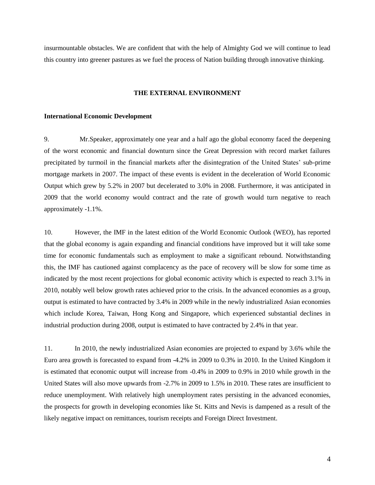insurmountable obstacles. We are confident that with the help of Almighty God we will continue to lead this country into greener pastures as we fuel the process of Nation building through innovative thinking.

## **THE EXTERNAL ENVIRONMENT**

#### **International Economic Development**

9. Mr.Speaker, approximately one year and a half ago the global economy faced the deepening of the worst economic and financial downturn since the Great Depression with record market failures precipitated by turmoil in the financial markets after the disintegration of the United States' sub-prime mortgage markets in 2007. The impact of these events is evident in the deceleration of World Economic Output which grew by 5.2% in 2007 but decelerated to 3.0% in 2008. Furthermore, it was anticipated in 2009 that the world economy would contract and the rate of growth would turn negative to reach approximately -1.1%.

10. However, the IMF in the latest edition of the World Economic Outlook (WEO), has reported that the global economy is again expanding and financial conditions have improved but it will take some time for economic fundamentals such as employment to make a significant rebound. Notwithstanding this, the IMF has cautioned against complacency as the pace of recovery will be slow for some time as indicated by the most recent projections for global economic activity which is expected to reach 3.1% in 2010, notably well below growth rates achieved prior to the crisis. In the advanced economies as a group, output is estimated to have contracted by 3.4% in 2009 while in the newly industrialized Asian economies which include Korea, Taiwan, Hong Kong and Singapore, which experienced substantial declines in industrial production during 2008, output is estimated to have contracted by 2.4% in that year.

11. In 2010, the newly industrialized Asian economies are projected to expand by 3.6% while the Euro area growth is forecasted to expand from -4.2% in 2009 to 0.3% in 2010. In the United Kingdom it is estimated that economic output will increase from -0.4% in 2009 to 0.9% in 2010 while growth in the United States will also move upwards from -2.7% in 2009 to 1.5% in 2010. These rates are insufficient to reduce unemployment. With relatively high unemployment rates persisting in the advanced economies, the prospects for growth in developing economies like St. Kitts and Nevis is dampened as a result of the likely negative impact on remittances, tourism receipts and Foreign Direct Investment.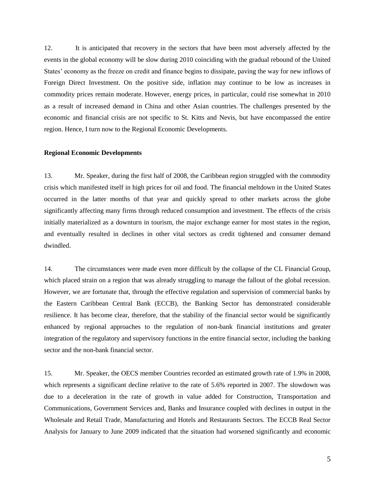12. It is anticipated that recovery in the sectors that have been most adversely affected by the events in the global economy will be slow during 2010 coinciding with the gradual rebound of the United States' economy as the freeze on credit and finance begins to dissipate, paving the way for new inflows of Foreign Direct Investment. On the positive side, inflation may continue to be low as increases in commodity prices remain moderate. However, energy prices, in particular, could rise somewhat in 2010 as a result of increased demand in China and other Asian countries. The challenges presented by the economic and financial crisis are not specific to St. Kitts and Nevis, but have encompassed the entire region. Hence, I turn now to the Regional Economic Developments.

# **Regional Economic Developments**

13. Mr. Speaker, during the first half of 2008, the Caribbean region struggled with the commodity crisis which manifested itself in high prices for oil and food. The financial meltdown in the United States occurred in the latter months of that year and quickly spread to other markets across the globe significantly affecting many firms through reduced consumption and investment. The effects of the crisis initially materialized as a downturn in tourism, the major exchange earner for most states in the region, and eventually resulted in declines in other vital sectors as credit tightened and consumer demand dwindled.

14. The circumstances were made even more difficult by the collapse of the CL Financial Group, which placed strain on a region that was already struggling to manage the fallout of the global recession. However, we are fortunate that, through the effective regulation and supervision of commercial banks by the Eastern Caribbean Central Bank (ECCB), the Banking Sector has demonstrated considerable resilience. It has become clear, therefore, that the stability of the financial sector would be significantly enhanced by regional approaches to the regulation of non-bank financial institutions and greater integration of the regulatory and supervisory functions in the entire financial sector, including the banking sector and the non-bank financial sector.

15. Mr. Speaker, the OECS member Countries recorded an estimated growth rate of 1.9% in 2008, which represents a significant decline relative to the rate of 5.6% reported in 2007. The slowdown was due to a deceleration in the rate of growth in value added for Construction, Transportation and Communications, Government Services and, Banks and Insurance coupled with declines in output in the Wholesale and Retail Trade, Manufacturing and Hotels and Restaurants Sectors. The ECCB Real Sector Analysis for January to June 2009 indicated that the situation had worsened significantly and economic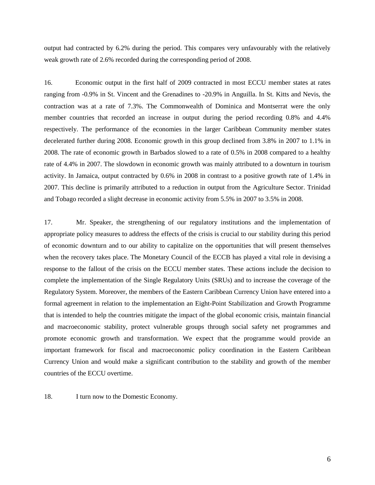output had contracted by 6.2% during the period. This compares very unfavourably with the relatively weak growth rate of 2.6% recorded during the corresponding period of 2008.

16. Economic output in the first half of 2009 contracted in most ECCU member states at rates ranging from -0.9% in St. Vincent and the Grenadines to -20.9% in Anguilla. In St. Kitts and Nevis, the contraction was at a rate of 7.3%. The Commonwealth of Dominica and Montserrat were the only member countries that recorded an increase in output during the period recording 0.8% and 4.4% respectively. The performance of the economies in the larger Caribbean Community member states decelerated further during 2008. Economic growth in this group declined from 3.8% in 2007 to 1.1% in 2008. The rate of economic growth in Barbados slowed to a rate of 0.5% in 2008 compared to a healthy rate of 4.4% in 2007. The slowdown in economic growth was mainly attributed to a downturn in tourism activity. In Jamaica, output contracted by 0.6% in 2008 in contrast to a positive growth rate of 1.4% in 2007. This decline is primarily attributed to a reduction in output from the Agriculture Sector. Trinidad and Tobago recorded a slight decrease in economic activity from 5.5% in 2007 to 3.5% in 2008.

17. Mr. Speaker, the strengthening of our regulatory institutions and the implementation of appropriate policy measures to address the effects of the crisis is crucial to our stability during this period of economic downturn and to our ability to capitalize on the opportunities that will present themselves when the recovery takes place. The Monetary Council of the ECCB has played a vital role in devising a response to the fallout of the crisis on the ECCU member states. These actions include the decision to complete the implementation of the Single Regulatory Units (SRUs) and to increase the coverage of the Regulatory System. Moreover, the members of the Eastern Caribbean Currency Union have entered into a formal agreement in relation to the implementation an Eight-Point Stabilization and Growth Programme that is intended to help the countries mitigate the impact of the global economic crisis, maintain financial and macroeconomic stability, protect vulnerable groups through social safety net programmes and promote economic growth and transformation. We expect that the programme would provide an important framework for fiscal and macroeconomic policy coordination in the Eastern Caribbean Currency Union and would make a significant contribution to the stability and growth of the member countries of the ECCU overtime.

18. I turn now to the Domestic Economy.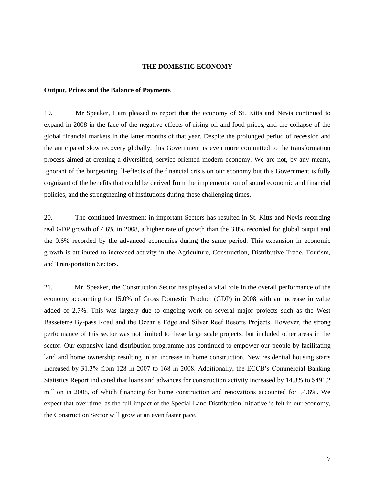#### **THE DOMESTIC ECONOMY**

#### **Output, Prices and the Balance of Payments**

19. Mr Speaker, I am pleased to report that the economy of St. Kitts and Nevis continued to expand in 2008 in the face of the negative effects of rising oil and food prices, and the collapse of the global financial markets in the latter months of that year. Despite the prolonged period of recession and the anticipated slow recovery globally, this Government is even more committed to the transformation process aimed at creating a diversified, service-oriented modern economy. We are not, by any means, ignorant of the burgeoning ill-effects of the financial crisis on our economy but this Government is fully cognizant of the benefits that could be derived from the implementation of sound economic and financial policies, and the strengthening of institutions during these challenging times.

20. The continued investment in important Sectors has resulted in St. Kitts and Nevis recording real GDP growth of 4.6% in 2008, a higher rate of growth than the 3.0% recorded for global output and the 0.6% recorded by the advanced economies during the same period. This expansion in economic growth is attributed to increased activity in the Agriculture, Construction, Distributive Trade, Tourism, and Transportation Sectors.

21. Mr. Speaker, the Construction Sector has played a vital role in the overall performance of the economy accounting for 15.0% of Gross Domestic Product (GDP) in 2008 with an increase in value added of 2.7%. This was largely due to ongoing work on several major projects such as the West Basseterre By-pass Road and the Ocean's Edge and Silver Reef Resorts Projects. However, the strong performance of this sector was not limited to these large scale projects, but included other areas in the sector. Our expansive land distribution programme has continued to empower our people by facilitating land and home ownership resulting in an increase in home construction. New residential housing starts increased by 31.3% from 128 in 2007 to 168 in 2008. Additionally, the ECCB's Commercial Banking Statistics Report indicated that loans and advances for construction activity increased by 14.8% to \$491.2 million in 2008, of which financing for home construction and renovations accounted for 54.6%. We expect that over time, as the full impact of the Special Land Distribution Initiative is felt in our economy, the Construction Sector will grow at an even faster pace.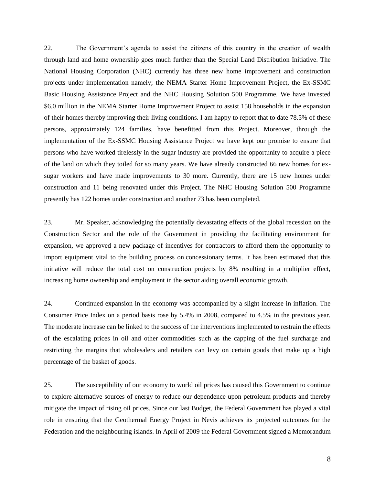22. The Government's agenda to assist the citizens of this country in the creation of wealth through land and home ownership goes much further than the Special Land Distribution Initiative. The National Housing Corporation (NHC) currently has three new home improvement and construction projects under implementation namely; the NEMA Starter Home Improvement Project, the Ex-SSMC Basic Housing Assistance Project and the NHC Housing Solution 500 Programme. We have invested \$6.0 million in the NEMA Starter Home Improvement Project to assist 158 households in the expansion of their homes thereby improving their living conditions. I am happy to report that to date 78.5% of these persons, approximately 124 families, have benefitted from this Project. Moreover, through the implementation of the Ex-SSMC Housing Assistance Project we have kept our promise to ensure that persons who have worked tirelessly in the sugar industry are provided the opportunity to acquire a piece of the land on which they toiled for so many years. We have already constructed 66 new homes for exsugar workers and have made improvements to 30 more. Currently, there are 15 new homes under construction and 11 being renovated under this Project. The NHC Housing Solution 500 Programme presently has 122 homes under construction and another 73 has been completed.

23. Mr. Speaker, acknowledging the potentially devastating effects of the global recession on the Construction Sector and the role of the Government in providing the facilitating environment for expansion, we approved a new package of incentives for contractors to afford them the opportunity to import equipment vital to the building process on concessionary terms. It has been estimated that this initiative will reduce the total cost on construction projects by 8% resulting in a multiplier effect, increasing home ownership and employment in the sector aiding overall economic growth.

24. Continued expansion in the economy was accompanied by a slight increase in inflation. The Consumer Price Index on a period basis rose by 5.4% in 2008, compared to 4.5% in the previous year. The moderate increase can be linked to the success of the interventions implemented to restrain the effects of the escalating prices in oil and other commodities such as the capping of the fuel surcharge and restricting the margins that wholesalers and retailers can levy on certain goods that make up a high percentage of the basket of goods.

25. The susceptibility of our economy to world oil prices has caused this Government to continue to explore alternative sources of energy to reduce our dependence upon petroleum products and thereby mitigate the impact of rising oil prices. Since our last Budget, the Federal Government has played a vital role in ensuring that the Geothermal Energy Project in Nevis achieves its projected outcomes for the Federation and the neighbouring islands. In April of 2009 the Federal Government signed a Memorandum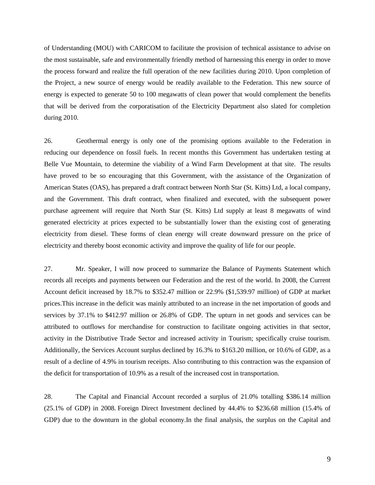of Understanding (MOU) with CARICOM to facilitate the provision of technical assistance to advise on the most sustainable, safe and environmentally friendly method of harnessing this energy in order to move the process forward and realize the full operation of the new facilities during 2010. Upon completion of the Project, a new source of energy would be readily available to the Federation. This new source of energy is expected to generate 50 to 100 megawatts of clean power that would complement the benefits that will be derived from the corporatisation of the Electricity Department also slated for completion during 2010.

26. Geothermal energy is only one of the promising options available to the Federation in reducing our dependence on fossil fuels. In recent months this Government has undertaken testing at Belle Vue Mountain, to determine the viability of a Wind Farm Development at that site. The results have proved to be so encouraging that this Government, with the assistance of the Organization of American States (OAS), has prepared a draft contract between North Star (St. Kitts) Ltd, a local company, and the Government. This draft contract, when finalized and executed, with the subsequent power purchase agreement will require that North Star (St. Kitts) Ltd supply at least 8 megawatts of wind generated electricity at prices expected to be substantially lower than the existing cost of generating electricity from diesel. These forms of clean energy will create downward pressure on the price of electricity and thereby boost economic activity and improve the quality of life for our people.

27. Mr. Speaker, I will now proceed to summarize the Balance of Payments Statement which records all receipts and payments between our Federation and the rest of the world. In 2008, the Current Account deficit increased by 18.7% to \$352.47 million or 22.9% (\$1,539.97 million) of GDP at market prices.This increase in the deficit was mainly attributed to an increase in the net importation of goods and services by 37.1% to \$412.97 million or 26.8% of GDP. The upturn in net goods and services can be attributed to outflows for merchandise for construction to facilitate ongoing activities in that sector, activity in the Distributive Trade Sector and increased activity in Tourism; specifically cruise tourism. Additionally, the Services Account surplus declined by 16.3% to \$163.20 million, or 10.6% of GDP, as a result of a decline of 4.9% in tourism receipts. Also contributing to this contraction was the expansion of the deficit for transportation of 10.9% as a result of the increased cost in transportation.

28. The Capital and Financial Account recorded a surplus of 21.0% totalling \$386.14 million (25.1% of GDP) in 2008. Foreign Direct Investment declined by 44.4% to \$236.68 million (15.4% of GDP) due to the downturn in the global economy. In the final analysis, the surplus on the Capital and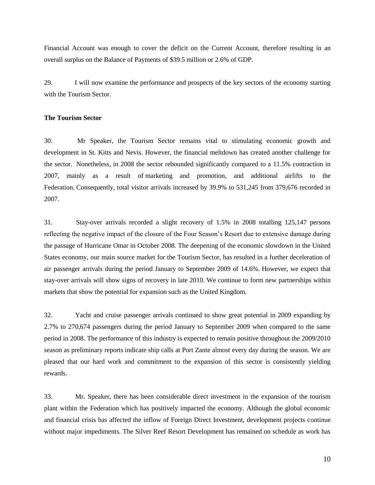Financial Account was enough to cover the deficit on the Current Account, therefore resulting in an overall surplus on the Balance of Payments of \$39.5 million or 2.6% of GDP.

29. I will now examine the performance and prospects of the key sectors of the economy starting with the Tourism Sector.

# **The Tourism Sector**

30. Mr Speaker, the Tourism Sector remains vital to stimulating economic growth and development in St. Kitts and Nevis. However, the financial meltdown has created another challenge for the sector. Nonetheless, in 2008 the sector rebounded significantly compared to a 11.5% contraction in 2007, mainly as a result of marketing and promotion, and additional airlifts to the Federation. Consequently, total visitor arrivals increased by 39.9% to 531,245 from 379,676 recorded in 2007.

31. Stay-over arrivals recorded a slight recovery of 1.5% in 2008 totalling 125,147 persons reflecting the negative impact of the closure of the Four Season's Resort due to extensive damage during the passage of Hurricane Omar in October 2008. The deepening of the economic slowdown in the United States economy, our main source market for the Tourism Sector, has resulted in a further deceleration of air passenger arrivals during the period January to September 2009 of 14.6%. However, we expect that stay-over arrivals will show signs of recovery in late 2010. We continue to form new partnerships within markets that show the potential for expansion such as the United Kingdom.

32. Yacht and cruise passenger arrivals continued to show great potential in 2009 expanding by 2.7% to 270,674 passengers during the period January to September 2009 when compared to the same period in 2008. The performance of this industry is expected to remain positive throughout the 2009/2010 season as preliminary reports indicate ship calls at Port Zante almost every day during the season. We are pleased that our hard work and commitment to the expansion of this sector is consistently yielding rewards.

33. Mr. Speaker, there has been considerable direct investment in the expansion of the tourism plant within the Federation which has positively impacted the economy. Although the global economic and financial crisis has affected the inflow of Foreign Direct Investment, development projects continue without major impediments. The Silver Reef Resort Development has remained on schedule as work has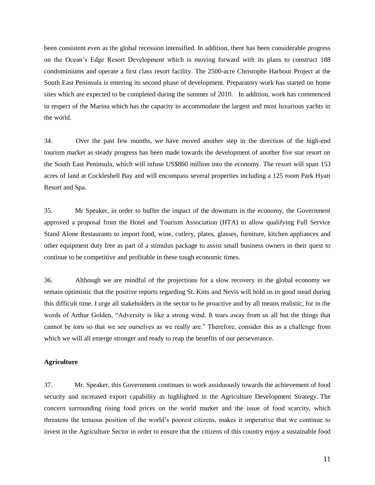been consistent even as the global recession intensified. In addition, there has been considerable progress on the Ocean's Edge Resort Development which is moving forward with its plans to construct 188 condominiums and operate a first class resort facility. The 2500-acre Christophe Harbour Project at the South East Peninsula is entering its second phase of development. Preparatory work has started on home sites which are expected to be completed during the summer of 2010. In addition, work has commenced in respect of the Marina which has the capacity to accommodate the largest and most luxurious yachts in the world.

34. Over the past few months, we have moved another step in the direction of the high-end tourism market as steady progress has been made towards the development of another five star resort on the South East Peninsula, which will infuse US\$860 million into the economy. The resort will span 153 acres of land at Cockleshell Bay and will encompass several properties including a 125 room Park Hyatt Resort and Spa.

35. Mr Speaker, in order to buffer the impact of the downturn in the economy, the Government approved a proposal from the Hotel and Tourism Association (HTA) to allow qualifying Full Service Stand Alone Restaurants to import food, wine, cutlery, plates, glasses, furniture, kitchen appliances and other equipment duty free as part of a stimulus package to assist small business owners in their quest to continue to be competitive and profitable in these tough economic times.

36. Although we are mindful of the projections for a slow recovery in the global economy we remain optimistic that the positive reports regarding St. Kitts and Nevis will hold us in good stead during this difficult time. I urge all stakeholders in the sector to be proactive and by all means realistic, for in the words of Arthur Golden, "Adversity is like a strong wind. It tears away from us all but the things that cannot be torn so that we see ourselves as we really are." Therefore, consider this as a challenge from which we will all emerge stronger and ready to reap the benefits of our perseverance.

## **Agriculture**

37. Mr. Speaker, this Government continues to work assiduously towards the achievement of food security and increased export capability as highlighted in the Agriculture Development Strategy. The concern surrounding rising food prices on the world market and the issue of food scarcity, which threatens the tenuous position of the world's poorest citizens, makes it imperative that we continue to invest in the Agriculture Sector in order to ensure that the citizens of this country enjoy a sustainable food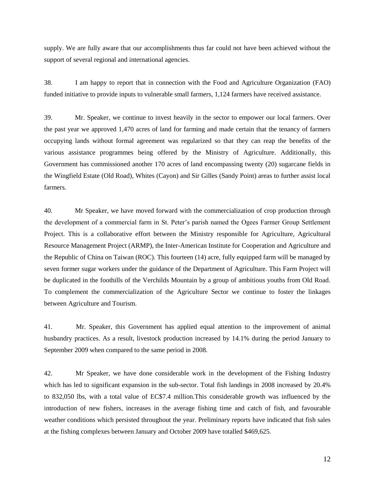supply. We are fully aware that our accomplishments thus far could not have been achieved without the support of several regional and international agencies.

38. I am happy to report that in connection with the Food and Agriculture Organization (FAO) funded initiative to provide inputs to vulnerable small farmers, 1,124 farmers have received assistance.

39. Mr. Speaker, we continue to invest heavily in the sector to empower our local farmers. Over the past year we approved 1,470 acres of land for farming and made certain that the tenancy of farmers occupying lands without formal agreement was regularized so that they can reap the benefits of the various assistance programmes being offered by the Ministry of Agriculture. Additionally, this Government has commissioned another 170 acres of land encompassing twenty (20) sugarcane fields in the Wingfield Estate (Old Road), Whites (Cayon) and Sir Gilles (Sandy Point) areas to further assist local farmers.

40. Mr Speaker, we have moved forward with the commercialization of crop production through the development of a commercial farm in St. Peter's parish named the Ogees Farmer Group Settlement Project. This is a collaborative effort between the Ministry responsible for Agriculture, Agricultural Resource Management Project (ARMP), the Inter-American Institute for Cooperation and Agriculture and the Republic of China on Taiwan (ROC). This fourteen (14) acre, fully equipped farm will be managed by seven former sugar workers under the guidance of the Department of Agriculture. This Farm Project will be duplicated in the foothills of the Verchilds Mountain by a group of ambitious youths from Old Road. To complement the commercialization of the Agriculture Sector we continue to foster the linkages between Agriculture and Tourism.

41. Mr. Speaker, this Government has applied equal attention to the improvement of animal husbandry practices. As a result, livestock production increased by 14.1% during the period January to September 2009 when compared to the same period in 2008.

42. Mr Speaker, we have done considerable work in the development of the Fishing Industry which has led to significant expansion in the sub-sector. Total fish landings in 2008 increased by 20.4% to 832,050 lbs, with a total value of EC\$7.4 million.This considerable growth was influenced by the introduction of new fishers, increases in the average fishing time and catch of fish, and favourable weather conditions which persisted throughout the year. Preliminary reports have indicated that fish sales at the fishing complexes between January and October 2009 have totalled \$469,625.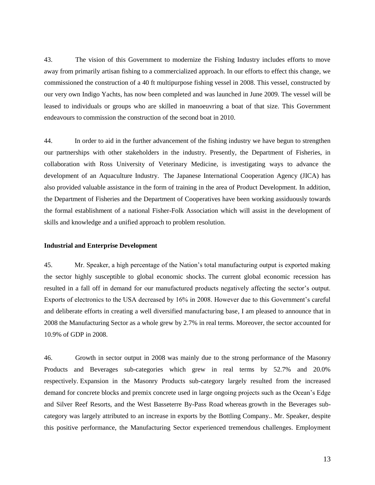43. The vision of this Government to modernize the Fishing Industry includes efforts to move away from primarily artisan fishing to a commercialized approach. In our efforts to effect this change, we commissioned the construction of a 40 ft multipurpose fishing vessel in 2008. This vessel, constructed by our very own Indigo Yachts, has now been completed and was launched in June 2009. The vessel will be leased to individuals or groups who are skilled in manoeuvring a boat of that size. This Government endeavours to commission the construction of the second boat in 2010.

44. In order to aid in the further advancement of the fishing industry we have begun to strengthen our partnerships with other stakeholders in the industry. Presently, the Department of Fisheries, in collaboration with Ross University of Veterinary Medicine, is investigating ways to advance the development of an Aquaculture Industry. The Japanese International Cooperation Agency (JICA) has also provided valuable assistance in the form of training in the area of Product Development. In addition, the Department of Fisheries and the Department of Cooperatives have been working assiduously towards the formal establishment of a national Fisher-Folk Association which will assist in the development of skills and knowledge and a unified approach to problem resolution.

# **Industrial and Enterprise Development**

45. Mr. Speaker, a high percentage of the Nation's total manufacturing output is exported making the sector highly susceptible to global economic shocks. The current global economic recession has resulted in a fall off in demand for our manufactured products negatively affecting the sector's output. Exports of electronics to the USA decreased by 16% in 2008. However due to this Government's careful and deliberate efforts in creating a well diversified manufacturing base, I am pleased to announce that in 2008 the Manufacturing Sector as a whole grew by 2.7% in real terms. Moreover, the sector accounted for 10.9% of GDP in 2008.

46. Growth in sector output in 2008 was mainly due to the strong performance of the Masonry Products and Beverages sub-categories which grew in real terms by 52.7% and 20.0% respectively. Expansion in the Masonry Products sub-category largely resulted from the increased demand for concrete blocks and premix concrete used in large ongoing projects such as the Ocean's Edge and Silver Reef Resorts, and the West Basseterre By-Pass Road whereas growth in the Beverages subcategory was largely attributed to an increase in exports by the Bottling Company.. Mr. Speaker, despite this positive performance, the Manufacturing Sector experienced tremendous challenges. Employment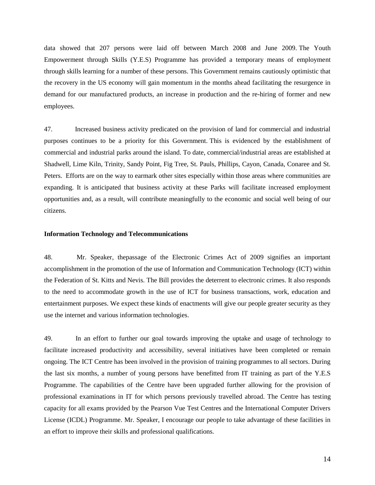data showed that 207 persons were laid off between March 2008 and June 2009. The Youth Empowerment through Skills (Y.E.S) Programme has provided a temporary means of employment through skills learning for a number of these persons. This Government remains cautiously optimistic that the recovery in the US economy will gain momentum in the months ahead facilitating the resurgence in demand for our manufactured products, an increase in production and the re-hiring of former and new employees.

47. Increased business activity predicated on the provision of land for commercial and industrial purposes continues to be a priority for this Government. This is evidenced by the establishment of commercial and industrial parks around the island. To date, commercial/industrial areas are established at Shadwell, Lime Kiln, Trinity, Sandy Point, Fig Tree, St. Pauls, Phillips, Cayon, Canada, Conaree and St. Peters. Efforts are on the way to earmark other sites especially within those areas where communities are expanding. It is anticipated that business activity at these Parks will facilitate increased employment opportunities and, as a result, will contribute meaningfully to the economic and social well being of our citizens.

## **Information Technology and Telecommunications**

48. Mr. Speaker, thepassage of the Electronic Crimes Act of 2009 signifies an important accomplishment in the promotion of the use of Information and Communication Technology (ICT) within the Federation of St. Kitts and Nevis. The Bill provides the deterrent to electronic crimes. It also responds to the need to accommodate growth in the use of ICT for business transactions, work, education and entertainment purposes. We expect these kinds of enactments will give our people greater security as they use the internet and various information technologies.

49. In an effort to further our goal towards improving the uptake and usage of technology to facilitate increased productivity and accessibility, several initiatives have been completed or remain ongoing. The ICT Centre has been involved in the provision of training programmes to all sectors. During the last six months, a number of young persons have benefitted from IT training as part of the Y.E.S Programme. The capabilities of the Centre have been upgraded further allowing for the provision of professional examinations in IT for which persons previously travelled abroad. The Centre has testing capacity for all exams provided by the Pearson Vue Test Centres and the International Computer Drivers License (ICDL) Programme. Mr. Speaker, I encourage our people to take advantage of these facilities in an effort to improve their skills and professional qualifications.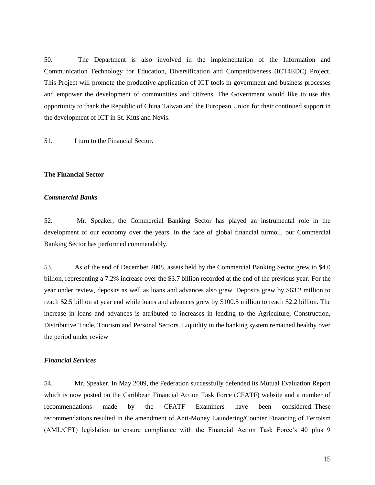50. The Department is also involved in the implementation of the Information and Communication Technology for Education, Diversification and Competitiveness (ICT4EDC) Project. This Project will promote the productive application of ICT tools in government and business processes and empower the development of communities and citizens. The Government would like to use this opportunity to thank the Republic of China Taiwan and the European Union for their continued support in the development of ICT in St. Kitts and Nevis.

51. I turn to the Financial Sector.

## **The Financial Sector**

#### *Commercial Banks*

52. Mr. Speaker, the Commercial Banking Sector has played an instrumental role in the development of our economy over the years. In the face of global financial turmoil, our Commercial Banking Sector has performed commendably.

53. As of the end of December 2008, assets held by the Commercial Banking Sector grew to \$4.0 billion, representing a 7.2% increase over the \$3.7 billion recorded at the end of the previous year. For the year under review, deposits as well as loans and advances also grew. Deposits grew by \$63.2 million to reach \$2.5 billion at year end while loans and advances grew by \$100.5 million to reach \$2.2 billion. The increase in loans and advances is attributed to increases in lending to the Agriculture, Construction, Distributive Trade, Tourism and Personal Sectors. Liquidity in the banking system remained healthy over the period under review

# *Financial Services*

54. Mr. Speaker, In May 2009, the Federation successfully defended its Mutual Evaluation Report which is now posted on the Caribbean Financial Action Task Force (CFATF) website and a number of recommendations made by the CFATF Examiners have been considered. These recommendations resulted in the amendment of Anti-Money Laundering/Counter Financing of Terroism (AML/CFT) legislation to ensure compliance with the Financial Action Task Force's 40 plus 9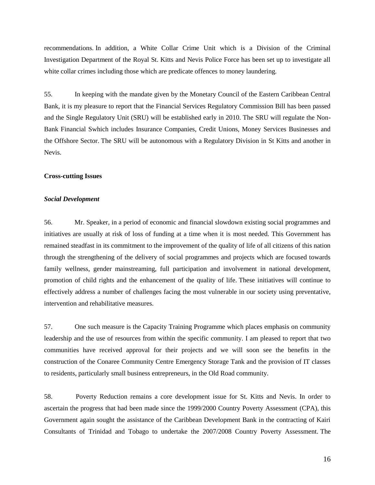recommendations. In addition, a White Collar Crime Unit which is a Division of the Criminal Investigation Department of the Royal St. Kitts and Nevis Police Force has been set up to investigate all white collar crimes including those which are predicate offences to money laundering.

55. In keeping with the mandate given by the Monetary Council of the Eastern Caribbean Central Bank, it is my pleasure to report that the Financial Services Regulatory Commission Bill has been passed and the Single Regulatory Unit (SRU) will be established early in 2010. The SRU will regulate the Non-Bank Financial Swhich includes Insurance Companies, Credit Unions, Money Services Businesses and the Offshore Sector. The SRU will be autonomous with a Regulatory Division in St Kitts and another in Nevis.

### **Cross-cutting Issues**

#### *Social Development*

56. Mr. Speaker, in a period of economic and financial slowdown existing social programmes and initiatives are usually at risk of loss of funding at a time when it is most needed. This Government has remained steadfast in its commitment to the improvement of the quality of life of all citizens of this nation through the strengthening of the delivery of social programmes and projects which are focused towards family wellness, gender mainstreaming, full participation and involvement in national development, promotion of child rights and the enhancement of the quality of life. These initiatives will continue to effectively address a number of challenges facing the most vulnerable in our society using preventative, intervention and rehabilitative measures.

57. One such measure is the Capacity Training Programme which places emphasis on community leadership and the use of resources from within the specific community. I am pleased to report that two communities have received approval for their projects and we will soon see the benefits in the construction of the Conaree Community Centre Emergency Storage Tank and the provision of IT classes to residents, particularly small business entrepreneurs, in the Old Road community.

58. Poverty Reduction remains a core development issue for St. Kitts and Nevis. In order to ascertain the progress that had been made since the 1999/2000 Country Poverty Assessment (CPA), this Government again sought the assistance of the Caribbean Development Bank in the contracting of Kairi Consultants of Trinidad and Tobago to undertake the 2007/2008 Country Poverty Assessment. The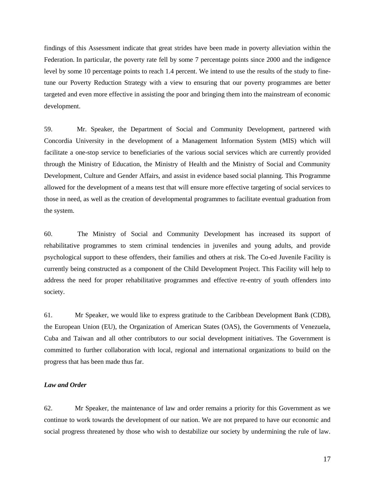findings of this Assessment indicate that great strides have been made in poverty alleviation within the Federation. In particular, the poverty rate fell by some 7 percentage points since 2000 and the indigence level by some 10 percentage points to reach 1.4 percent. We intend to use the results of the study to finetune our Poverty Reduction Strategy with a view to ensuring that our poverty programmes are better targeted and even more effective in assisting the poor and bringing them into the mainstream of economic development.

59. Mr. Speaker, the Department of Social and Community Development, partnered with Concordia University in the development of a Management Information System (MIS) which will facilitate a one-stop service to beneficiaries of the various social services which are currently provided through the Ministry of Education, the Ministry of Health and the Ministry of Social and Community Development, Culture and Gender Affairs, and assist in evidence based social planning. This Programme allowed for the development of a means test that will ensure more effective targeting of social services to those in need, as well as the creation of developmental programmes to facilitate eventual graduation from the system.

60. The Ministry of Social and Community Development has increased its support of rehabilitative programmes to stem criminal tendencies in juveniles and young adults, and provide psychological support to these offenders, their families and others at risk. The Co-ed Juvenile Facility is currently being constructed as a component of the Child Development Project. This Facility will help to address the need for proper rehabilitative programmes and effective re-entry of youth offenders into society.

61. Mr Speaker, we would like to express gratitude to the Caribbean Development Bank (CDB), the European Union (EU), the Organization of American States (OAS), the Governments of Venezuela, Cuba and Taiwan and all other contributors to our social development initiatives. The Government is committed to further collaboration with local, regional and international organizations to build on the progress that has been made thus far.

## *Law and Order*

62. Mr Speaker, the maintenance of law and order remains a priority for this Government as we continue to work towards the development of our nation. We are not prepared to have our economic and social progress threatened by those who wish to destabilize our society by undermining the rule of law.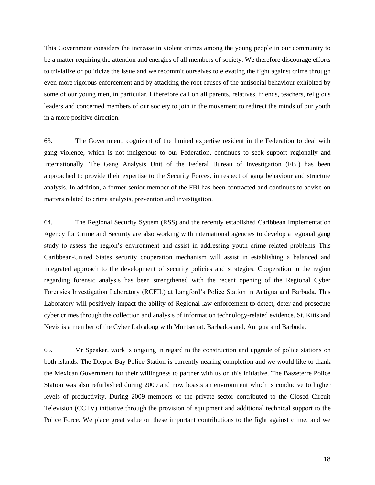This Government considers the increase in violent crimes among the young people in our community to be a matter requiring the attention and energies of all members of society. We therefore discourage efforts to trivialize or politicize the issue and we recommit ourselves to elevating the fight against crime through even more rigorous enforcement and by attacking the root causes of the antisocial behaviour exhibited by some of our young men, in particular. I therefore call on all parents, relatives, friends, teachers, religious leaders and concerned members of our society to join in the movement to redirect the minds of our youth in a more positive direction.

63. The Government, cognizant of the limited expertise resident in the Federation to deal with gang violence, which is not indigenous to our Federation, continues to seek support regionally and internationally. The Gang Analysis Unit of the Federal Bureau of Investigation (FBI) has been approached to provide their expertise to the Security Forces, in respect of gang behaviour and structure analysis. In addition, a former senior member of the FBI has been contracted and continues to advise on matters related to crime analysis, prevention and investigation.

64. The Regional Security System (RSS) and the recently established Caribbean Implementation Agency for Crime and Security are also working with international agencies to develop a regional gang study to assess the region's environment and assist in addressing youth crime related problems. This Caribbean-United States security cooperation mechanism will assist in establishing a balanced and integrated approach to the development of security policies and strategies. Cooperation in the region regarding forensic analysis has been strengthened with the recent opening of the Regional Cyber Forensics Investigation Laboratory (RCFIL) at Langford's Police Station in Antigua and Barbuda. This Laboratory will positively impact the ability of Regional law enforcement to detect, deter and prosecute cyber crimes through the collection and analysis of information technology-related evidence. St. Kitts and Nevis is a member of the Cyber Lab along with Montserrat, Barbados and, Antigua and Barbuda.

65. Mr Speaker, work is ongoing in regard to the construction and upgrade of police stations on both islands. The Dieppe Bay Police Station is currently nearing completion and we would like to thank the Mexican Government for their willingness to partner with us on this initiative. The Basseterre Police Station was also refurbished during 2009 and now boasts an environment which is conducive to higher levels of productivity. During 2009 members of the private sector contributed to the Closed Circuit Television (CCTV) initiative through the provision of equipment and additional technical support to the Police Force. We place great value on these important contributions to the fight against crime, and we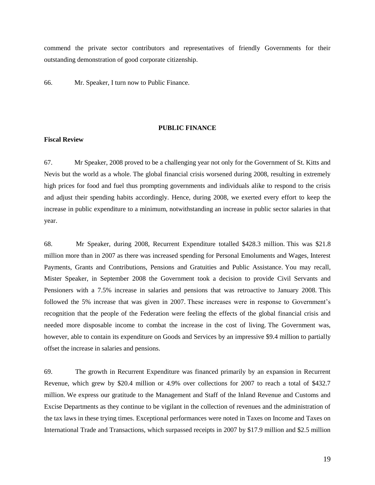commend the private sector contributors and representatives of friendly Governments for their outstanding demonstration of good corporate citizenship.

66. Mr. Speaker, I turn now to Public Finance.

#### **PUBLIC FINANCE**

## **Fiscal Review**

67. Mr Speaker, 2008 proved to be a challenging year not only for the Government of St. Kitts and Nevis but the world as a whole. The global financial crisis worsened during 2008, resulting in extremely high prices for food and fuel thus prompting governments and individuals alike to respond to the crisis and adjust their spending habits accordingly. Hence, during 2008, we exerted every effort to keep the increase in public expenditure to a minimum, notwithstanding an increase in public sector salaries in that year.

68. Mr Speaker, during 2008, Recurrent Expenditure totalled \$428.3 million. This was \$21.8 million more than in 2007 as there was increased spending for Personal Emoluments and Wages, Interest Payments, Grants and Contributions, Pensions and Gratuities and Public Assistance. You may recall, Mister Speaker, in September 2008 the Government took a decision to provide Civil Servants and Pensioners with a 7.5% increase in salaries and pensions that was retroactive to January 2008. This followed the 5% increase that was given in 2007. These increases were in response to Government's recognition that the people of the Federation were feeling the effects of the global financial crisis and needed more disposable income to combat the increase in the cost of living. The Government was, however, able to contain its expenditure on Goods and Services by an impressive \$9.4 million to partially offset the increase in salaries and pensions.

69. The growth in Recurrent Expenditure was financed primarily by an expansion in Recurrent Revenue, which grew by \$20.4 million or 4.9% over collections for 2007 to reach a total of \$432.7 million. We express our gratitude to the Management and Staff of the Inland Revenue and Customs and Excise Departments as they continue to be vigilant in the collection of revenues and the administration of the tax laws in these trying times. Exceptional performances were noted in Taxes on Income and Taxes on International Trade and Transactions, which surpassed receipts in 2007 by \$17.9 million and \$2.5 million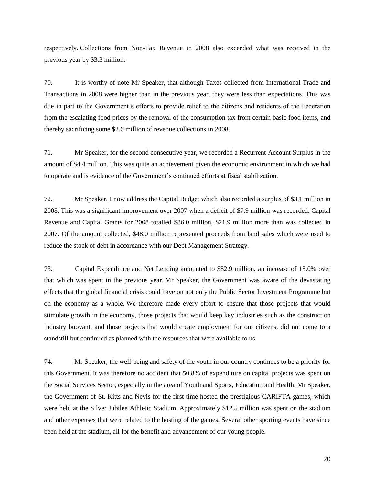respectively. Collections from Non-Tax Revenue in 2008 also exceeded what was received in the previous year by \$3.3 million.

70. It is worthy of note Mr Speaker, that although Taxes collected from International Trade and Transactions in 2008 were higher than in the previous year, they were less than expectations. This was due in part to the Government's efforts to provide relief to the citizens and residents of the Federation from the escalating food prices by the removal of the consumption tax from certain basic food items, and thereby sacrificing some \$2.6 million of revenue collections in 2008.

71. Mr Speaker, for the second consecutive year, we recorded a Recurrent Account Surplus in the amount of \$4.4 million. This was quite an achievement given the economic environment in which we had to operate and is evidence of the Government's continued efforts at fiscal stabilization.

72. Mr Speaker, I now address the Capital Budget which also recorded a surplus of \$3.1 million in 2008. This was a significant improvement over 2007 when a deficit of \$7.9 million was recorded. Capital Revenue and Capital Grants for 2008 totalled \$86.0 million, \$21.9 million more than was collected in 2007. Of the amount collected, \$48.0 million represented proceeds from land sales which were used to reduce the stock of debt in accordance with our Debt Management Strategy.

73. Capital Expenditure and Net Lending amounted to \$82.9 million, an increase of 15.0% over that which was spent in the previous year. Mr Speaker, the Government was aware of the devastating effects that the global financial crisis could have on not only the Public Sector Investment Programme but on the economy as a whole. We therefore made every effort to ensure that those projects that would stimulate growth in the economy, those projects that would keep key industries such as the construction industry buoyant, and those projects that would create employment for our citizens, did not come to a standstill but continued as planned with the resources that were available to us.

74. Mr Speaker, the well-being and safety of the youth in our country continues to be a priority for this Government. It was therefore no accident that 50.8% of expenditure on capital projects was spent on the Social Services Sector, especially in the area of Youth and Sports, Education and Health. Mr Speaker, the Government of St. Kitts and Nevis for the first time hosted the prestigious CARIFTA games, which were held at the Silver Jubilee Athletic Stadium. Approximately \$12.5 million was spent on the stadium and other expenses that were related to the hosting of the games. Several other sporting events have since been held at the stadium, all for the benefit and advancement of our young people.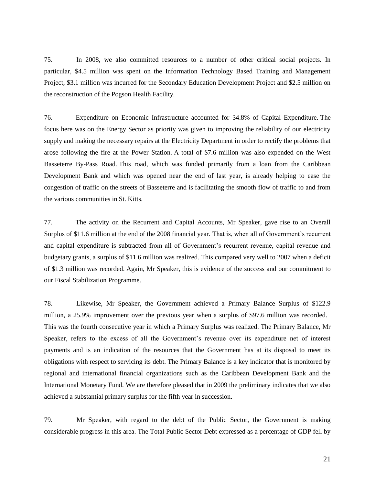75. In 2008, we also committed resources to a number of other critical social projects. In particular, \$4.5 million was spent on the Information Technology Based Training and Management Project, \$3.1 million was incurred for the Secondary Education Development Project and \$2.5 million on the reconstruction of the Pogson Health Facility.

76. Expenditure on Economic Infrastructure accounted for 34.8% of Capital Expenditure. The focus here was on the Energy Sector as priority was given to improving the reliability of our electricity supply and making the necessary repairs at the Electricity Department in order to rectify the problems that arose following the fire at the Power Station. A total of \$7.6 million was also expended on the West Basseterre By-Pass Road. This road, which was funded primarily from a loan from the Caribbean Development Bank and which was opened near the end of last year, is already helping to ease the congestion of traffic on the streets of Basseterre and is facilitating the smooth flow of traffic to and from the various communities in St. Kitts.

77. The activity on the Recurrent and Capital Accounts, Mr Speaker, gave rise to an Overall Surplus of \$11.6 million at the end of the 2008 financial year. That is, when all of Government's recurrent and capital expenditure is subtracted from all of Government's recurrent revenue, capital revenue and budgetary grants, a surplus of \$11.6 million was realized. This compared very well to 2007 when a deficit of \$1.3 million was recorded. Again, Mr Speaker, this is evidence of the success and our commitment to our Fiscal Stabilization Programme.

78. Likewise, Mr Speaker, the Government achieved a Primary Balance Surplus of \$122.9 million, a 25.9% improvement over the previous year when a surplus of \$97.6 million was recorded. This was the fourth consecutive year in which a Primary Surplus was realized. The Primary Balance, Mr Speaker, refers to the excess of all the Government's revenue over its expenditure net of interest payments and is an indication of the resources that the Government has at its disposal to meet its obligations with respect to servicing its debt. The Primary Balance is a key indicator that is monitored by regional and international financial organizations such as the Caribbean Development Bank and the International Monetary Fund. We are therefore pleased that in 2009 the preliminary indicates that we also achieved a substantial primary surplus for the fifth year in succession.

79. Mr Speaker, with regard to the debt of the Public Sector, the Government is making considerable progress in this area. The Total Public Sector Debt expressed as a percentage of GDP fell by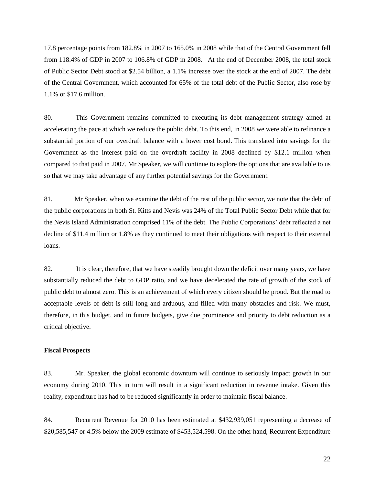17.8 percentage points from 182.8% in 2007 to 165.0% in 2008 while that of the Central Government fell from 118.4% of GDP in 2007 to 106.8% of GDP in 2008. At the end of December 2008, the total stock of Public Sector Debt stood at \$2.54 billion, a 1.1% increase over the stock at the end of 2007. The debt of the Central Government, which accounted for 65% of the total debt of the Public Sector, also rose by 1.1% or \$17.6 million.

80. This Government remains committed to executing its debt management strategy aimed at accelerating the pace at which we reduce the public debt. To this end, in 2008 we were able to refinance a substantial portion of our overdraft balance with a lower cost bond. This translated into savings for the Government as the interest paid on the overdraft facility in 2008 declined by \$12.1 million when compared to that paid in 2007. Mr Speaker, we will continue to explore the options that are available to us so that we may take advantage of any further potential savings for the Government.

81. Mr Speaker, when we examine the debt of the rest of the public sector, we note that the debt of the public corporations in both St. Kitts and Nevis was 24% of the Total Public Sector Debt while that for the Nevis Island Administration comprised 11% of the debt. The Public Corporations' debt reflected a net decline of \$11.4 million or 1.8% as they continued to meet their obligations with respect to their external loans.

82. It is clear, therefore, that we have steadily brought down the deficit over many years, we have substantially reduced the debt to GDP ratio, and we have decelerated the rate of growth of the stock of public debt to almost zero. This is an achievement of which every citizen should be proud. But the road to acceptable levels of debt is still long and arduous, and filled with many obstacles and risk. We must, therefore, in this budget, and in future budgets, give due prominence and priority to debt reduction as a critical objective.

# **Fiscal Prospects**

83. Mr. Speaker, the global economic downturn will continue to seriously impact growth in our economy during 2010. This in turn will result in a significant reduction in revenue intake. Given this reality, expenditure has had to be reduced significantly in order to maintain fiscal balance.

84. Recurrent Revenue for 2010 has been estimated at \$432,939,051 representing a decrease of \$20,585,547 or 4.5% below the 2009 estimate of \$453,524,598. On the other hand, Recurrent Expenditure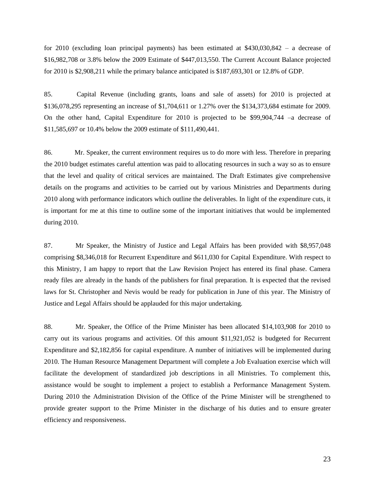for 2010 (excluding loan principal payments) has been estimated at \$430,030,842 – a decrease of \$16,982,708 or 3.8% below the 2009 Estimate of \$447,013,550. The Current Account Balance projected for 2010 is \$2,908,211 while the primary balance anticipated is \$187,693,301 or 12.8% of GDP.

85. Capital Revenue (including grants, loans and sale of assets) for 2010 is projected at \$136,078,295 representing an increase of \$1,704,611 or 1.27% over the \$134,373,684 estimate for 2009. On the other hand, Capital Expenditure for 2010 is projected to be \$99,904,744 –a decrease of \$11,585,697 or 10.4% below the 2009 estimate of \$111,490,441.

86. Mr. Speaker, the current environment requires us to do more with less. Therefore in preparing the 2010 budget estimates careful attention was paid to allocating resources in such a way so as to ensure that the level and quality of critical services are maintained. The Draft Estimates give comprehensive details on the programs and activities to be carried out by various Ministries and Departments during 2010 along with performance indicators which outline the deliverables. In light of the expenditure cuts, it is important for me at this time to outline some of the important initiatives that would be implemented during 2010.

87. Mr Speaker, the Ministry of Justice and Legal Affairs has been provided with \$8,957,048 comprising \$8,346,018 for Recurrent Expenditure and \$611,030 for Capital Expenditure. With respect to this Ministry, I am happy to report that the Law Revision Project has entered its final phase. Camera ready files are already in the hands of the publishers for final preparation. It is expected that the revised laws for St. Christopher and Nevis would be ready for publication in June of this year. The Ministry of Justice and Legal Affairs should be applauded for this major undertaking.

88. Mr. Speaker, the Office of the Prime Minister has been allocated \$14,103,908 for 2010 to carry out its various programs and activities. Of this amount \$11,921,052 is budgeted for Recurrent Expenditure and \$2,182,856 for capital expenditure. A number of initiatives will be implemented during 2010. The Human Resource Management Department will complete a Job Evaluation exercise which will facilitate the development of standardized job descriptions in all Ministries. To complement this, assistance would be sought to implement a project to establish a Performance Management System. During 2010 the Administration Division of the Office of the Prime Minister will be strengthened to provide greater support to the Prime Minister in the discharge of his duties and to ensure greater efficiency and responsiveness.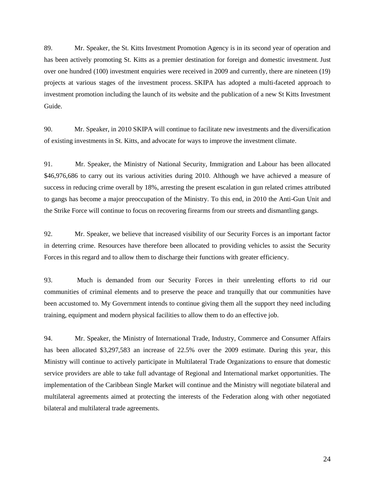89. Mr. Speaker, the St. Kitts Investment Promotion Agency is in its second year of operation and has been actively promoting St. Kitts as a premier destination for foreign and domestic investment. Just over one hundred (100) investment enquiries were received in 2009 and currently, there are nineteen (19) projects at various stages of the investment process. SKIPA has adopted a multi-faceted approach to investment promotion including the launch of its website and the publication of a new St Kitts Investment Guide.

90. Mr. Speaker, in 2010 SKIPA will continue to facilitate new investments and the diversification of existing investments in St. Kitts, and advocate for ways to improve the investment climate.

91. Mr. Speaker, the Ministry of National Security, Immigration and Labour has been allocated \$46,976,686 to carry out its various activities during 2010. Although we have achieved a measure of success in reducing crime overall by 18%, arresting the present escalation in gun related crimes attributed to gangs has become a major preoccupation of the Ministry. To this end, in 2010 the Anti-Gun Unit and the Strike Force will continue to focus on recovering firearms from our streets and dismantling gangs.

92. Mr. Speaker, we believe that increased visibility of our Security Forces is an important factor in deterring crime. Resources have therefore been allocated to providing vehicles to assist the Security Forces in this regard and to allow them to discharge their functions with greater efficiency.

93. Much is demanded from our Security Forces in their unrelenting efforts to rid our communities of criminal elements and to preserve the peace and tranquilly that our communities have been accustomed to. My Government intends to continue giving them all the support they need including training, equipment and modern physical facilities to allow them to do an effective job.

94. Mr. Speaker, the Ministry of International Trade, Industry, Commerce and Consumer Affairs has been allocated \$3,297,583 an increase of 22.5% over the 2009 estimate. During this year, this Ministry will continue to actively participate in Multilateral Trade Organizations to ensure that domestic service providers are able to take full advantage of Regional and International market opportunities. The implementation of the Caribbean Single Market will continue and the Ministry will negotiate bilateral and multilateral agreements aimed at protecting the interests of the Federation along with other negotiated bilateral and multilateral trade agreements.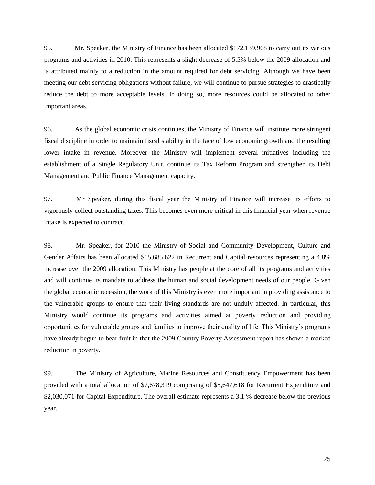95. Mr. Speaker, the Ministry of Finance has been allocated \$172,139,968 to carry out its various programs and activities in 2010. This represents a slight decrease of 5.5% below the 2009 allocation and is attributed mainly to a reduction in the amount required for debt servicing. Although we have been meeting our debt servicing obligations without failure, we will continue to pursue strategies to drastically reduce the debt to more acceptable levels. In doing so, more resources could be allocated to other important areas.

96. As the global economic crisis continues, the Ministry of Finance will institute more stringent fiscal discipline in order to maintain fiscal stability in the face of low economic growth and the resulting lower intake in revenue. Moreover the Ministry will implement several initiatives including the establishment of a Single Regulatory Unit, continue its Tax Reform Program and strengthen its Debt Management and Public Finance Management capacity.

97. Mr Speaker, during this fiscal year the Ministry of Finance will increase its efforts to vigorously collect outstanding taxes. This becomes even more critical in this financial year when revenue intake is expected to contract.

98. Mr. Speaker, for 2010 the Ministry of Social and Community Development, Culture and Gender Affairs has been allocated \$15,685,622 in Recurrent and Capital resources representing a 4.8% increase over the 2009 allocation. This Ministry has people at the core of all its programs and activities and will continue its mandate to address the human and social development needs of our people. Given the global economic recession, the work of this Ministry is even more important in providing assistance to the vulnerable groups to ensure that their living standards are not unduly affected. In particular, this Ministry would continue its programs and activities aimed at poverty reduction and providing opportunities for vulnerable groups and families to improve their quality of life. This Ministry's programs have already begun to bear fruit in that the 2009 Country Poverty Assessment report has shown a marked reduction in poverty.

99. The Ministry of Agriculture, Marine Resources and Constituency Empowerment has been provided with a total allocation of \$7,678,319 comprising of \$5,647,618 for Recurrent Expenditure and \$2,030,071 for Capital Expenditure. The overall estimate represents a 3.1 % decrease below the previous year.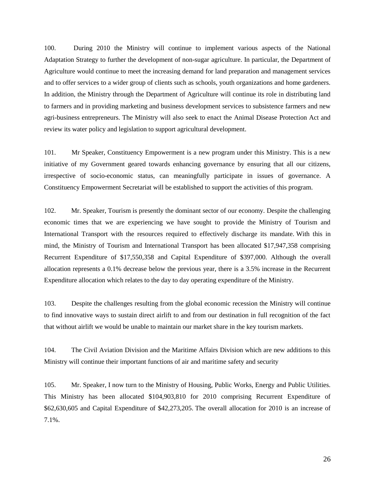100. During 2010 the Ministry will continue to implement various aspects of the National Adaptation Strategy to further the development of non-sugar agriculture. In particular, the Department of Agriculture would continue to meet the increasing demand for land preparation and management services and to offer services to a wider group of clients such as schools, youth organizations and home gardeners. In addition, the Ministry through the Department of Agriculture will continue its role in distributing land to farmers and in providing marketing and business development services to subsistence farmers and new agri-business entrepreneurs. The Ministry will also seek to enact the Animal Disease Protection Act and review its water policy and legislation to support agricultural development.

101. Mr Speaker, Constituency Empowerment is a new program under this Ministry. This is a new initiative of my Government geared towards enhancing governance by ensuring that all our citizens, irrespective of socio-economic status, can meaningfully participate in issues of governance. A Constituency Empowerment Secretariat will be established to support the activities of this program.

102. Mr. Speaker, Tourism is presently the dominant sector of our economy. Despite the challenging economic times that we are experiencing we have sought to provide the Ministry of Tourism and International Transport with the resources required to effectively discharge its mandate. With this in mind, the Ministry of Tourism and International Transport has been allocated \$17,947,358 comprising Recurrent Expenditure of \$17,550,358 and Capital Expenditure of \$397,000. Although the overall allocation represents a 0.1% decrease below the previous year, there is a 3.5% increase in the Recurrent Expenditure allocation which relates to the day to day operating expenditure of the Ministry.

103. Despite the challenges resulting from the global economic recession the Ministry will continue to find innovative ways to sustain direct airlift to and from our destination in full recognition of the fact that without airlift we would be unable to maintain our market share in the key tourism markets.

104. The Civil Aviation Division and the Maritime Affairs Division which are new additions to this Ministry will continue their important functions of air and maritime safety and security

105. Mr. Speaker, I now turn to the Ministry of Housing, Public Works, Energy and Public Utilities. This Ministry has been allocated \$104,903,810 for 2010 comprising Recurrent Expenditure of \$62,630,605 and Capital Expenditure of \$42,273,205. The overall allocation for 2010 is an increase of 7.1%.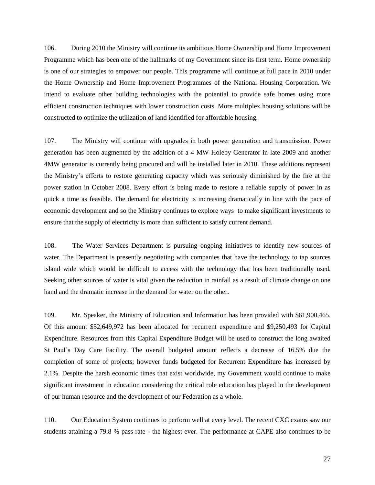106. During 2010 the Ministry will continue its ambitious Home Ownership and Home Improvement Programme which has been one of the hallmarks of my Government since its first term. Home ownership is one of our strategies to empower our people. This programme will continue at full pace in 2010 under the Home Ownership and Home Improvement Programmes of the National Housing Corporation. We intend to evaluate other building technologies with the potential to provide safe homes using more efficient construction techniques with lower construction costs. More multiplex housing solutions will be constructed to optimize the utilization of land identified for affordable housing.

107. The Ministry will continue with upgrades in both power generation and transmission. Power generation has been augmented by the addition of a 4 MW Holeby Generator in late 2009 and another 4MW generator is currently being procured and will be installed later in 2010. These additions represent the Ministry's efforts to restore generating capacity which was seriously diminished by the fire at the power station in October 2008. Every effort is being made to restore a reliable supply of power in as quick a time as feasible. The demand for electricity is increasing dramatically in line with the pace of economic development and so the Ministry continues to explore ways to make significant investments to ensure that the supply of electricity is more than sufficient to satisfy current demand.

108. The Water Services Department is pursuing ongoing initiatives to identify new sources of water. The Department is presently negotiating with companies that have the technology to tap sources island wide which would be difficult to access with the technology that has been traditionally used. Seeking other sources of water is vital given the reduction in rainfall as a result of climate change on one hand and the dramatic increase in the demand for water on the other.

109. Mr. Speaker, the Ministry of Education and Information has been provided with \$61,900,465. Of this amount \$52,649,972 has been allocated for recurrent expenditure and \$9,250,493 for Capital Expenditure. Resources from this Capital Expenditure Budget will be used to construct the long awaited St Paul's Day Care Facility. The overall budgeted amount reflects a decrease of 16.5% due the completion of some of projects; however funds budgeted for Recurrent Expenditure has increased by 2.1%. Despite the harsh economic times that exist worldwide, my Government would continue to make significant investment in education considering the critical role education has played in the development of our human resource and the development of our Federation as a whole.

110. Our Education System continues to perform well at every level. The recent CXC exams saw our students attaining a 79.8 % pass rate - the highest ever. The performance at CAPE also continues to be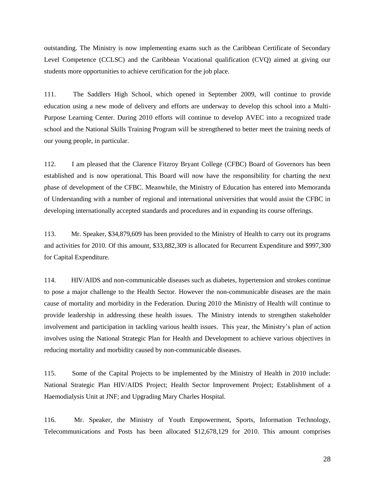outstanding. The Ministry is now implementing exams such as the Caribbean Certificate of Secondary Level Competence (CCLSC) and the Caribbean Vocational qualification (CVQ) aimed at giving our students more opportunities to achieve certification for the job place.

111. The Saddlers High School, which opened in September 2009, will continue to provide education using a new mode of delivery and efforts are underway to develop this school into a Multi-Purpose Learning Center. During 2010 efforts will continue to develop AVEC into a recognized trade school and the National Skills Training Program will be strengthened to better meet the training needs of our young people, in particular.

112. I am pleased that the Clarence Fitzroy Bryant College (CFBC) Board of Governors has been established and is now operational. This Board will now have the responsibility for charting the next phase of development of the CFBC. Meanwhile, the Ministry of Education has entered into Memoranda of Understanding with a number of regional and international universities that would assist the CFBC in developing internationally accepted standards and procedures and in expanding its course offerings.

113. Mr. Speaker, \$34,879,609 has been provided to the Ministry of Health to carry out its programs and activities for 2010. Of this amount, \$33,882,309 is allocated for Recurrent Expenditure and \$997,300 for Capital Expenditure.

114. HIV/AIDS and non-communicable diseases such as diabetes, hypertension and strokes continue to pose a major challenge to the Health Sector. However the non-communicable diseases are the main cause of mortality and morbidity in the Federation. During 2010 the Ministry of Health will continue to provide leadership in addressing these health issues. The Ministry intends to strengthen stakeholder involvement and participation in tackling various health issues. This year, the Ministry's plan of action involves using the National Strategic Plan for Health and Development to achieve various objectives in reducing mortality and morbidity caused by non-communicable diseases.

115. Some of the Capital Projects to be implemented by the Ministry of Health in 2010 include: National Strategic Plan HIV/AIDS Project; Health Sector Improvement Project; Establishment of a Haemodialysis Unit at JNF; and Upgrading Mary Charles Hospital.

116. Mr. Speaker, the Ministry of Youth Empowerment, Sports, Information Technology, Telecommunications and Posts has been allocated \$12,678,129 for 2010. This amount comprises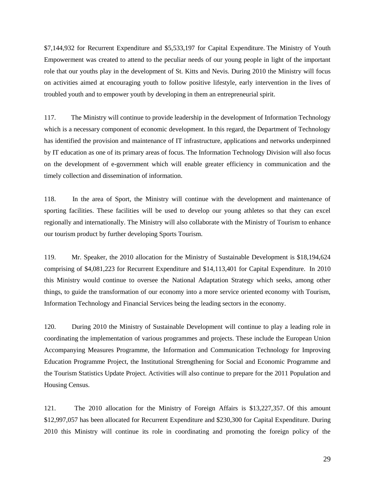\$7,144,932 for Recurrent Expenditure and \$5,533,197 for Capital Expenditure. The Ministry of Youth Empowerment was created to attend to the peculiar needs of our young people in light of the important role that our youths play in the development of St. Kitts and Nevis. During 2010 the Ministry will focus on activities aimed at encouraging youth to follow positive lifestyle, early intervention in the lives of troubled youth and to empower youth by developing in them an entrepreneurial spirit.

117. The Ministry will continue to provide leadership in the development of Information Technology which is a necessary component of economic development. In this regard, the Department of Technology has identified the provision and maintenance of IT infrastructure, applications and networks underpinned by IT education as one of its primary areas of focus. The Information Technology Division will also focus on the development of e-government which will enable greater efficiency in communication and the timely collection and dissemination of information.

118. In the area of Sport, the Ministry will continue with the development and maintenance of sporting facilities. These facilities will be used to develop our young athletes so that they can excel regionally and internationally. The Ministry will also collaborate with the Ministry of Tourism to enhance our tourism product by further developing Sports Tourism.

119. Mr. Speaker, the 2010 allocation for the Ministry of Sustainable Development is \$18,194,624 comprising of \$4,081,223 for Recurrent Expenditure and \$14,113,401 for Capital Expenditure. In 2010 this Ministry would continue to oversee the National Adaptation Strategy which seeks, among other things, to guide the transformation of our economy into a more service oriented economy with Tourism, Information Technology and Financial Services being the leading sectors in the economy.

120. During 2010 the Ministry of Sustainable Development will continue to play a leading role in coordinating the implementation of various programmes and projects. These include the European Union Accompanying Measures Programme, the Information and Communication Technology for Improving Education Programme Project, the Institutional Strengthening for Social and Economic Programme and the Tourism Statistics Update Project. Activities will also continue to prepare for the 2011 Population and Housing Census.

121. The 2010 allocation for the Ministry of Foreign Affairs is \$13,227,357. Of this amount \$12,997,057 has been allocated for Recurrent Expenditure and \$230,300 for Capital Expenditure. During 2010 this Ministry will continue its role in coordinating and promoting the foreign policy of the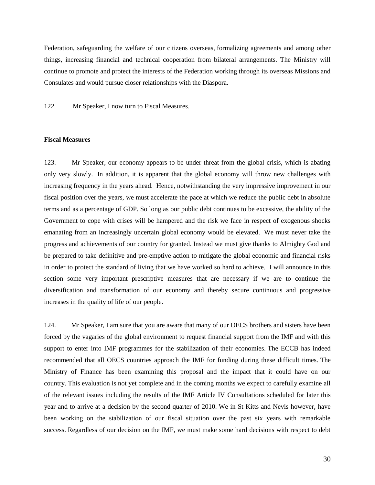Federation, safeguarding the welfare of our citizens overseas, formalizing agreements and among other things, increasing financial and technical cooperation from bilateral arrangements. The Ministry will continue to promote and protect the interests of the Federation working through its overseas Missions and Consulates and would pursue closer relationships with the Diaspora.

122. Mr Speaker, I now turn to Fiscal Measures.

## **Fiscal Measures**

123. Mr Speaker, our economy appears to be under threat from the global crisis, which is abating only very slowly. In addition, it is apparent that the global economy will throw new challenges with increasing frequency in the years ahead. Hence, notwithstanding the very impressive improvement in our fiscal position over the years, we must accelerate the pace at which we reduce the public debt in absolute terms and as a percentage of GDP. So long as our public debt continues to be excessive, the ability of the Government to cope with crises will be hampered and the risk we face in respect of exogenous shocks emanating from an increasingly uncertain global economy would be elevated. We must never take the progress and achievements of our country for granted. Instead we must give thanks to Almighty God and be prepared to take definitive and pre-emptive action to mitigate the global economic and financial risks in order to protect the standard of living that we have worked so hard to achieve. I will announce in this section some very important prescriptive measures that are necessary if we are to continue the diversification and transformation of our economy and thereby secure continuous and progressive increases in the quality of life of our people.

124. Mr Speaker, I am sure that you are aware that many of our OECS brothers and sisters have been forced by the vagaries of the global environment to request financial support from the IMF and with this support to enter into IMF programmes for the stabilization of their economies. The ECCB has indeed recommended that all OECS countries approach the IMF for funding during these difficult times. The Ministry of Finance has been examining this proposal and the impact that it could have on our country. This evaluation is not yet complete and in the coming months we expect to carefully examine all of the relevant issues including the results of the IMF Article IV Consultations scheduled for later this year and to arrive at a decision by the second quarter of 2010. We in St Kitts and Nevis however, have been working on the stabilization of our fiscal situation over the past six years with remarkable success. Regardless of our decision on the IMF, we must make some hard decisions with respect to debt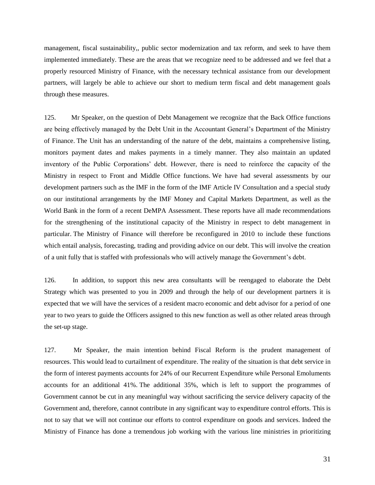management, fiscal sustainability,, public sector modernization and tax reform, and seek to have them implemented immediately. These are the areas that we recognize need to be addressed and we feel that a properly resourced Ministry of Finance, with the necessary technical assistance from our development partners, will largely be able to achieve our short to medium term fiscal and debt management goals through these measures.

125. Mr Speaker, on the question of Debt Management we recognize that the Back Office functions are being effectively managed by the Debt Unit in the Accountant General's Department of the Ministry of Finance. The Unit has an understanding of the nature of the debt, maintains a comprehensive listing, monitors payment dates and makes payments in a timely manner. They also maintain an updated inventory of the Public Corporations' debt. However, there is need to reinforce the capacity of the Ministry in respect to Front and Middle Office functions. We have had several assessments by our development partners such as the IMF in the form of the IMF Article IV Consultation and a special study on our institutional arrangements by the IMF Money and Capital Markets Department, as well as the World Bank in the form of a recent DeMPA Assessment. These reports have all made recommendations for the strengthening of the institutional capacity of the Ministry in respect to debt management in particular. The Ministry of Finance will therefore be reconfigured in 2010 to include these functions which entail analysis, forecasting, trading and providing advice on our debt. This will involve the creation of a unit fully that is staffed with professionals who will actively manage the Government's debt.

126. In addition, to support this new area consultants will be reengaged to elaborate the Debt Strategy which was presented to you in 2009 and through the help of our development partners it is expected that we will have the services of a resident macro economic and debt advisor for a period of one year to two years to guide the Officers assigned to this new function as well as other related areas through the set-up stage.

127. Mr Speaker, the main intention behind Fiscal Reform is the prudent management of resources. This would lead to curtailment of expenditure. The reality of the situation is that debt service in the form of interest payments accounts for 24% of our Recurrent Expenditure while Personal Emoluments accounts for an additional 41%. The additional 35%, which is left to support the programmes of Government cannot be cut in any meaningful way without sacrificing the service delivery capacity of the Government and, therefore, cannot contribute in any significant way to expenditure control efforts. This is not to say that we will not continue our efforts to control expenditure on goods and services. Indeed the Ministry of Finance has done a tremendous job working with the various line ministries in prioritizing

31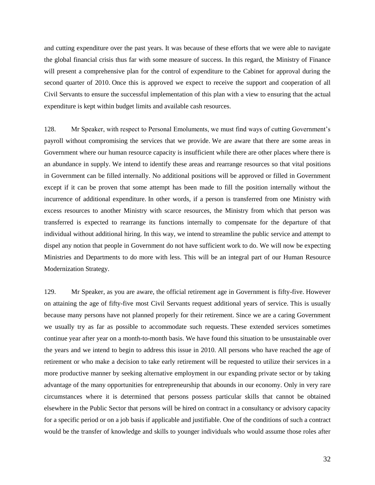and cutting expenditure over the past years. It was because of these efforts that we were able to navigate the global financial crisis thus far with some measure of success. In this regard, the Ministry of Finance will present a comprehensive plan for the control of expenditure to the Cabinet for approval during the second quarter of 2010. Once this is approved we expect to receive the support and cooperation of all Civil Servants to ensure the successful implementation of this plan with a view to ensuring that the actual expenditure is kept within budget limits and available cash resources.

128. Mr Speaker, with respect to Personal Emoluments, we must find ways of cutting Government's payroll without compromising the services that we provide. We are aware that there are some areas in Government where our human resource capacity is insufficient while there are other places where there is an abundance in supply. We intend to identify these areas and rearrange resources so that vital positions in Government can be filled internally. No additional positions will be approved or filled in Government except if it can be proven that some attempt has been made to fill the position internally without the incurrence of additional expenditure. In other words, if a person is transferred from one Ministry with excess resources to another Ministry with scarce resources, the Ministry from which that person was transferred is expected to rearrange its functions internally to compensate for the departure of that individual without additional hiring. In this way, we intend to streamline the public service and attempt to dispel any notion that people in Government do not have sufficient work to do. We will now be expecting Ministries and Departments to do more with less. This will be an integral part of our Human Resource Modernization Strategy.

129. Mr Speaker, as you are aware, the official retirement age in Government is fifty-five. However on attaining the age of fifty-five most Civil Servants request additional years of service. This is usually because many persons have not planned properly for their retirement. Since we are a caring Government we usually try as far as possible to accommodate such requests. These extended services sometimes continue year after year on a month-to-month basis. We have found this situation to be unsustainable over the years and we intend to begin to address this issue in 2010. All persons who have reached the age of retirement or who make a decision to take early retirement will be requested to utilize their services in a more productive manner by seeking alternative employment in our expanding private sector or by taking advantage of the many opportunities for entrepreneurship that abounds in our economy. Only in very rare circumstances where it is determined that persons possess particular skills that cannot be obtained elsewhere in the Public Sector that persons will be hired on contract in a consultancy or advisory capacity for a specific period or on a job basis if applicable and justifiable. One of the conditions of such a contract would be the transfer of knowledge and skills to younger individuals who would assume those roles after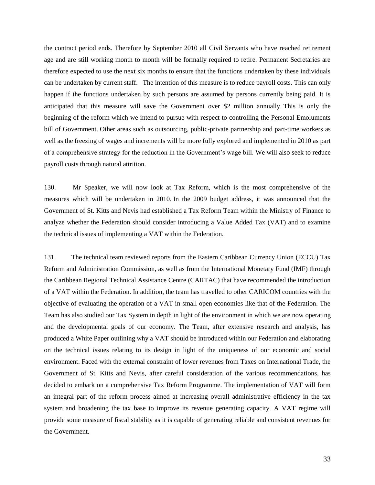the contract period ends. Therefore by September 2010 all Civil Servants who have reached retirement age and are still working month to month will be formally required to retire. Permanent Secretaries are therefore expected to use the next six months to ensure that the functions undertaken by these individuals can be undertaken by current staff. The intention of this measure is to reduce payroll costs. This can only happen if the functions undertaken by such persons are assumed by persons currently being paid. It is anticipated that this measure will save the Government over \$2 million annually. This is only the beginning of the reform which we intend to pursue with respect to controlling the Personal Emoluments bill of Government. Other areas such as outsourcing, public-private partnership and part-time workers as well as the freezing of wages and increments will be more fully explored and implemented in 2010 as part of a comprehensive strategy for the reduction in the Government's wage bill. We will also seek to reduce payroll costs through natural attrition.

130. Mr Speaker, we will now look at Tax Reform, which is the most comprehensive of the measures which will be undertaken in 2010. In the 2009 budget address, it was announced that the Government of St. Kitts and Nevis had established a Tax Reform Team within the Ministry of Finance to analyze whether the Federation should consider introducing a Value Added Tax (VAT) and to examine the technical issues of implementing a VAT within the Federation.

131. The technical team reviewed reports from the Eastern Caribbean Currency Union (ECCU) Tax Reform and Administration Commission, as well as from the International Monetary Fund (IMF) through the Caribbean Regional Technical Assistance Centre (CARTAC) that have recommended the introduction of a VAT within the Federation. In addition, the team has travelled to other CARICOM countries with the objective of evaluating the operation of a VAT in small open economies like that of the Federation. The Team has also studied our Tax System in depth in light of the environment in which we are now operating and the developmental goals of our economy. The Team, after extensive research and analysis, has produced a White Paper outlining why a VAT should be introduced within our Federation and elaborating on the technical issues relating to its design in light of the uniqueness of our economic and social environment. Faced with the external constraint of lower revenues from Taxes on International Trade, the Government of St. Kitts and Nevis, after careful consideration of the various recommendations, has decided to embark on a comprehensive Tax Reform Programme. The implementation of VAT will form an integral part of the reform process aimed at increasing overall administrative efficiency in the tax system and broadening the tax base to improve its revenue generating capacity. A VAT regime will provide some measure of fiscal stability as it is capable of generating reliable and consistent revenues for the Government.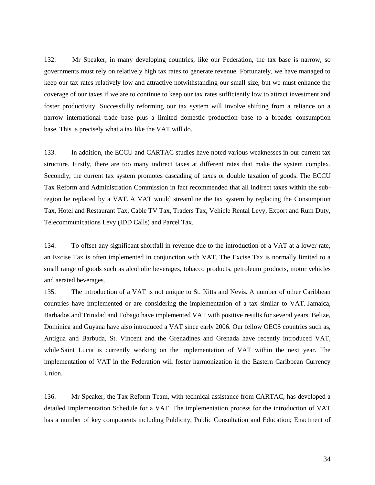132. Mr Speaker, in many developing countries, like our Federation, the tax base is narrow, so governments must rely on relatively high tax rates to generate revenue. Fortunately, we have managed to keep our tax rates relatively low and attractive notwithstanding our small size, but we must enhance the coverage of our taxes if we are to continue to keep our tax rates sufficiently low to attract investment and foster productivity. Successfully reforming our tax system will involve shifting from a reliance on a narrow international trade base plus a limited domestic production base to a broader consumption base. This is precisely what a tax like the VAT will do.

133. In addition, the ECCU and CARTAC studies have noted various weaknesses in our current tax structure. Firstly, there are too many indirect taxes at different rates that make the system complex. Secondly, the current tax system promotes cascading of taxes or double taxation of goods. The ECCU Tax Reform and Administration Commission in fact recommended that all indirect taxes within the subregion be replaced by a VAT. A VAT would streamline the tax system by replacing the Consumption Tax, Hotel and Restaurant Tax, Cable TV Tax, Traders Tax, Vehicle Rental Levy, Export and Rum Duty, Telecommunications Levy (IDD Calls) and Parcel Tax.

134. To offset any significant shortfall in revenue due to the introduction of a VAT at a lower rate, an Excise Tax is often implemented in conjunction with VAT. The Excise Tax is normally limited to a small range of goods such as alcoholic beverages, tobacco products, petroleum products, motor vehicles and aerated beverages.

135. The introduction of a VAT is not unique to St. Kitts and Nevis. A number of other Caribbean countries have implemented or are considering the implementation of a tax similar to VAT. Jamaica, Barbados and Trinidad and Tobago have implemented VAT with positive results for several years. Belize, Dominica and Guyana have also introduced a VAT since early 2006. Our fellow OECS countries such as, Antigua and Barbuda, St. Vincent and the Grenadines and Grenada have recently introduced VAT, while Saint Lucia is currently working on the implementation of VAT within the next year. The implementation of VAT in the Federation will foster harmonization in the Eastern Caribbean Currency Union.

136. Mr Speaker, the Tax Reform Team, with technical assistance from CARTAC, has developed a detailed Implementation Schedule for a VAT. The implementation process for the introduction of VAT has a number of key components including Publicity, Public Consultation and Education; Enactment of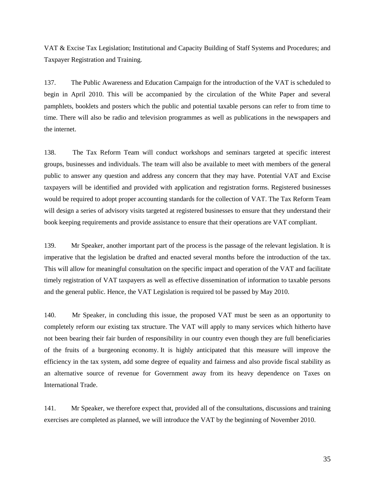VAT & Excise Tax Legislation; Institutional and Capacity Building of Staff Systems and Procedures; and Taxpayer Registration and Training.

137. The Public Awareness and Education Campaign for the introduction of the VAT is scheduled to begin in April 2010. This will be accompanied by the circulation of the White Paper and several pamphlets, booklets and posters which the public and potential taxable persons can refer to from time to time. There will also be radio and television programmes as well as publications in the newspapers and the internet.

138. The Tax Reform Team will conduct workshops and seminars targeted at specific interest groups, businesses and individuals. The team will also be available to meet with members of the general public to answer any question and address any concern that they may have. Potential VAT and Excise taxpayers will be identified and provided with application and registration forms. Registered businesses would be required to adopt proper accounting standards for the collection of VAT. The Tax Reform Team will design a series of advisory visits targeted at registered businesses to ensure that they understand their book keeping requirements and provide assistance to ensure that their operations are VAT compliant.

139. Mr Speaker, another important part of the process is the passage of the relevant legislation. It is imperative that the legislation be drafted and enacted several months before the introduction of the tax. This will allow for meaningful consultation on the specific impact and operation of the VAT and facilitate timely registration of VAT taxpayers as well as effective dissemination of information to taxable persons and the general public. Hence, the VAT Legislation is required tol be passed by May 2010.

140. Mr Speaker, in concluding this issue, the proposed VAT must be seen as an opportunity to completely reform our existing tax structure. The VAT will apply to many services which hitherto have not been bearing their fair burden of responsibility in our country even though they are full beneficiaries of the fruits of a burgeoning economy. It is highly anticipated that this measure will improve the efficiency in the tax system, add some degree of equality and fairness and also provide fiscal stability as an alternative source of revenue for Government away from its heavy dependence on Taxes on International Trade.

141. Mr Speaker, we therefore expect that, provided all of the consultations, discussions and training exercises are completed as planned, we will introduce the VAT by the beginning of November 2010.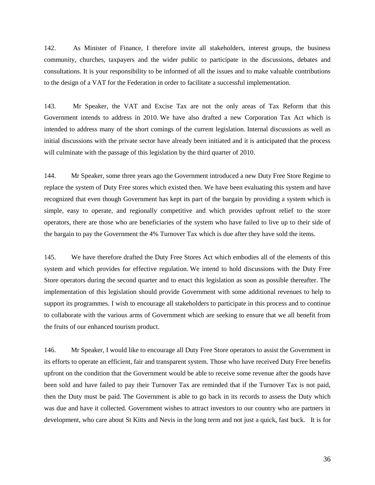142. As Minister of Finance, I therefore invite all stakeholders, interest groups, the business community, churches, taxpayers and the wider public to participate in the discussions, debates and consultations. It is your responsibility to be informed of all the issues and to make valuable contributions to the design of a VAT for the Federation in order to facilitate a successful implementation.

143. Mr Speaker, the VAT and Excise Tax are not the only areas of Tax Reform that this Government intends to address in 2010. We have also drafted a new Corporation Tax Act which is intended to address many of the short comings of the current legislation. Internal discussions as well as initial discussions with the private sector have already been initiated and it is anticipated that the process will culminate with the passage of this legislation by the third quarter of 2010.

144. Mr Speaker, some three years ago the Government introduced a new Duty Free Store Regime to replace the system of Duty Free stores which existed then. We have been evaluating this system and have recognized that even though Government has kept its part of the bargain by providing a system which is simple, easy to operate, and regionally competitive and which provides upfront relief to the store operators, there are those who are beneficiaries of the system who have failed to live up to their side of the bargain to pay the Government the 4% Turnover Tax which is due after they have sold the items.

145. We have therefore drafted the Duty Free Stores Act which embodies all of the elements of this system and which provides for effective regulation. We intend to hold discussions with the Duty Free Store operators during the second quarter and to enact this legislation as soon as possible thereafter. The implementation of this legislation should provide Government with some additional revenues to help to support its programmes. I wish to encourage all stakeholders to participate in this process and to continue to collaborate with the various arms of Government which are seeking to ensure that we all benefit from the fruits of our enhanced tourism product.

146. Mr Speaker, I would like to encourage all Duty Free Store operators to assist the Government in its efforts to operate an efficient, fair and transparent system. Those who have received Duty Free benefits upfront on the condition that the Government would be able to receive some revenue after the goods have been sold and have failed to pay their Turnover Tax are reminded that if the Turnover Tax is not paid, then the Duty must be paid. The Government is able to go back in its records to assess the Duty which was due and have it collected. Government wishes to attract investors to our country who are partners in development, who care about St Kitts and Nevis in the long term and not just a quick, fast buck. It is for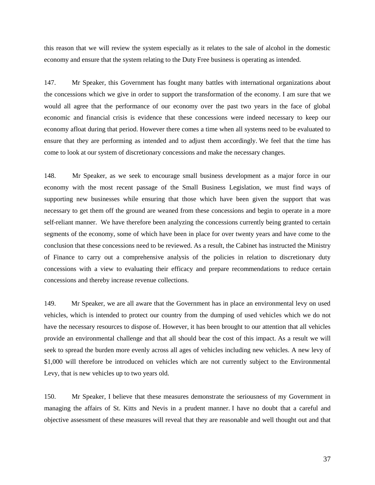this reason that we will review the system especially as it relates to the sale of alcohol in the domestic economy and ensure that the system relating to the Duty Free business is operating as intended.

147. Mr Speaker, this Government has fought many battles with international organizations about the concessions which we give in order to support the transformation of the economy. I am sure that we would all agree that the performance of our economy over the past two years in the face of global economic and financial crisis is evidence that these concessions were indeed necessary to keep our economy afloat during that period. However there comes a time when all systems need to be evaluated to ensure that they are performing as intended and to adjust them accordingly. We feel that the time has come to look at our system of discretionary concessions and make the necessary changes.

148. Mr Speaker, as we seek to encourage small business development as a major force in our economy with the most recent passage of the Small Business Legislation, we must find ways of supporting new businesses while ensuring that those which have been given the support that was necessary to get them off the ground are weaned from these concessions and begin to operate in a more self-reliant manner. We have therefore been analyzing the concessions currently being granted to certain segments of the economy, some of which have been in place for over twenty years and have come to the conclusion that these concessions need to be reviewed. As a result, the Cabinet has instructed the Ministry of Finance to carry out a comprehensive analysis of the policies in relation to discretionary duty concessions with a view to evaluating their efficacy and prepare recommendations to reduce certain concessions and thereby increase revenue collections.

149. Mr Speaker, we are all aware that the Government has in place an environmental levy on used vehicles, which is intended to protect our country from the dumping of used vehicles which we do not have the necessary resources to dispose of. However, it has been brought to our attention that all vehicles provide an environmental challenge and that all should bear the cost of this impact. As a result we will seek to spread the burden more evenly across all ages of vehicles including new vehicles. A new levy of \$1,000 will therefore be introduced on vehicles which are not currently subject to the Environmental Levy, that is new vehicles up to two years old.

150. Mr Speaker, I believe that these measures demonstrate the seriousness of my Government in managing the affairs of St. Kitts and Nevis in a prudent manner. I have no doubt that a careful and objective assessment of these measures will reveal that they are reasonable and well thought out and that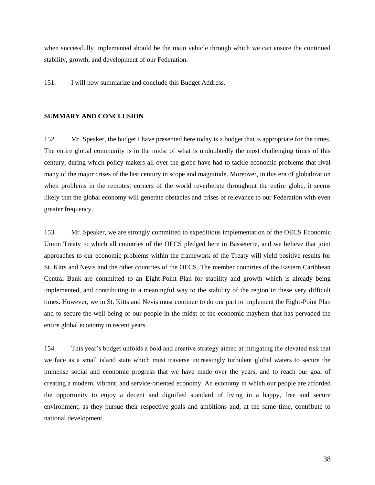when successfully implemented should be the main vehicle through which we can ensure the continued stability, growth, and development of our Federation.

151. I will now summarize and conclude this Budget Address.

## **SUMMARY AND CONCLUSION**

152. Mr. Speaker, the budget I have presented here today is a budget that is appropriate for the times. The entire global community is in the midst of what is undoubtedly the most challenging times of this century, during which policy makers all over the globe have had to tackle economic problems that rival many of the major crises of the last century in scope and magnitude. Moreover, in this era of globalization when problems in the remotest corners of the world reverberate throughout the entire globe, it seems likely that the global economy will generate obstacles and crises of relevance to our Federation with even greater frequency.

153. Mr. Speaker, we are strongly committed to expeditious implementation of the OECS Economic Union Treaty to which all countries of the OECS pledged here in Basseterre, and we believe that joint approaches to our economic problems within the framework of the Treaty will yield positive results for St. Kitts and Nevis and the other countries of the OECS. The member countries of the Eastern Caribbean Central Bank are committed to an Eight-Point Plan for stability and growth which is already being implemented, and contributing in a meaningful way to the stability of the region in these very difficult times. However, we in St. Kitts and Nevis must continue to do our part to implement the Eight-Point Plan and to secure the well-being of our people in the midst of the economic mayhem that has pervaded the entire global economy in recent years.

154. This year's budget unfolds a bold and creative strategy aimed at mitigating the elevated risk that we face as a small island state which must traverse increasingly turbulent global waters to secure the immense social and economic progress that we have made over the years, and to reach our goal of creating a modern, vibrant, and service-oriented economy. An economy in which our people are afforded the opportunity to enjoy a decent and dignified standard of living in a happy, free and secure environment, as they pursue their respective goals and ambitions and, at the same time, contribute to national development.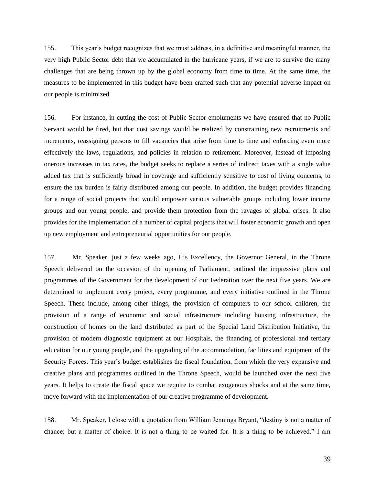155. This year's budget recognizes that we must address, in a definitive and meaningful manner, the very high Public Sector debt that we accumulated in the hurricane years, if we are to survive the many challenges that are being thrown up by the global economy from time to time. At the same time, the measures to be implemented in this budget have been crafted such that any potential adverse impact on our people is minimized.

156. For instance, in cutting the cost of Public Sector emoluments we have ensured that no Public Servant would be fired, but that cost savings would be realized by constraining new recruitments and increments, reassigning persons to fill vacancies that arise from time to time and enforcing even more effectively the laws, regulations, and policies in relation to retirement. Moreover, instead of imposing onerous increases in tax rates, the budget seeks to replace a series of indirect taxes with a single value added tax that is sufficiently broad in coverage and sufficiently sensitive to cost of living concerns, to ensure the tax burden is fairly distributed among our people. In addition, the budget provides financing for a range of social projects that would empower various vulnerable groups including lower income groups and our young people, and provide them protection from the ravages of global crises. It also provides for the implementation of a number of capital projects that will foster economic growth and open up new employment and entrepreneurial opportunities for our people.

157. Mr. Speaker, just a few weeks ago, His Excellency, the Governor General, in the Throne Speech delivered on the occasion of the opening of Parliament, outlined the impressive plans and programmes of the Government for the development of our Federation over the next five years. We are determined to implement every project, every programme, and every initiative outlined in the Throne Speech. These include, among other things, the provision of computers to our school children, the provision of a range of economic and social infrastructure including housing infrastructure, the construction of homes on the land distributed as part of the Special Land Distribution Initiative, the provision of modern diagnostic equipment at our Hospitals, the financing of professional and tertiary education for our young people, and the upgrading of the accommodation, facilities and equipment of the Security Forces. This year's budget establishes the fiscal foundation, from which the very expansive and creative plans and programmes outlined in the Throne Speech, would be launched over the next five years. It helps to create the fiscal space we require to combat exogenous shocks and at the same time, move forward with the implementation of our creative programme of development.

158. Mr. Speaker, I close with a quotation from William Jennings Bryant, "destiny is not a matter of chance; but a matter of choice. It is not a thing to be waited for. It is a thing to be achieved." I am